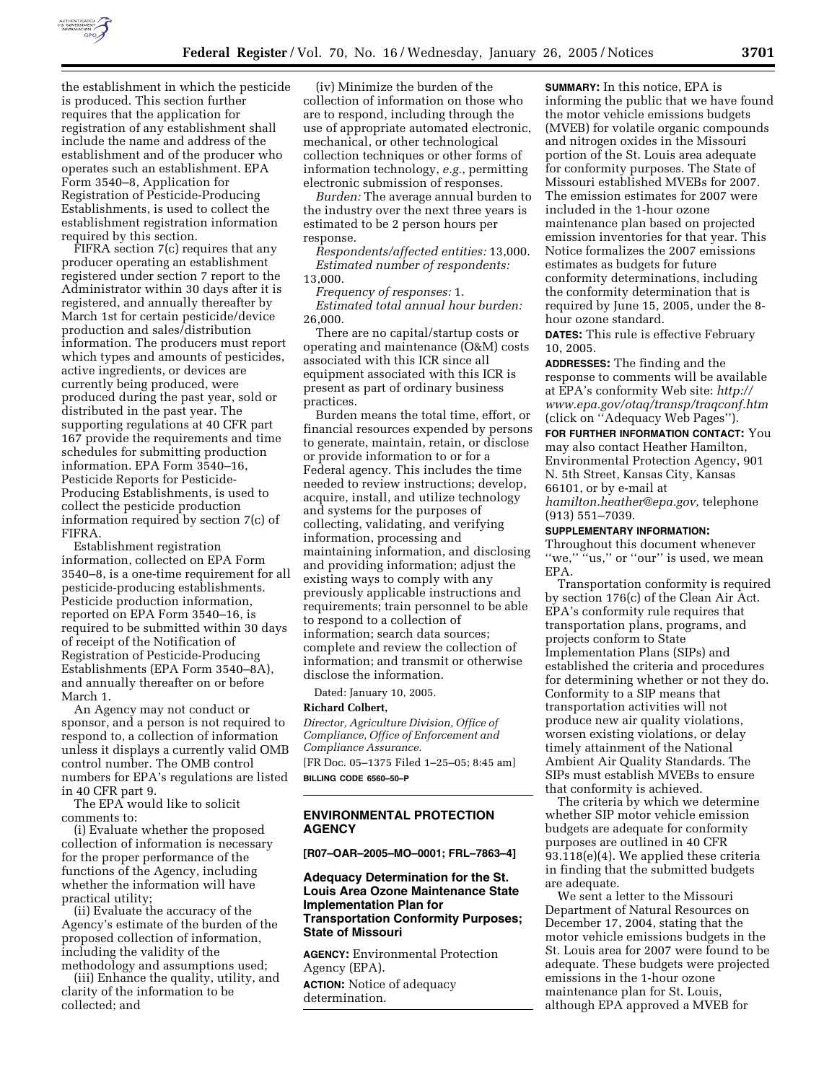

the establishment in which the pesticide is produced. This section further requires that the application for registration of any establishment shall include the name and address of the establishment and of the producer who operates such an establishment. EPA Form 3540–8, Application for Registration of Pesticide-Producing Establishments, is used to collect the establishment registration information required by this section.

FIFRA section 7(c) requires that any producer operating an establishment registered under section 7 report to the Administrator within 30 days after it is registered, and annually thereafter by March 1st for certain pesticide/device production and sales/distribution information. The producers must report which types and amounts of pesticides, active ingredients, or devices are currently being produced, were produced during the past year, sold or distributed in the past year. The supporting regulations at 40 CFR part 167 provide the requirements and time schedules for submitting production information. EPA Form 3540–16, Pesticide Reports for Pesticide-Producing Establishments, is used to collect the pesticide production information required by section 7(c) of FIFRA.

Establishment registration information, collected on EPA Form 3540–8, is a one-time requirement for all pesticide-producing establishments. Pesticide production information, reported on EPA Form 3540–16, is required to be submitted within 30 days of receipt of the Notification of Registration of Pesticide-Producing Establishments (EPA Form 3540–8A), and annually thereafter on or before March 1.

An Agency may not conduct or sponsor, and a person is not required to respond to, a collection of information unless it displays a currently valid OMB control number. The OMB control numbers for EPA's regulations are listed in 40 CFR part 9.

The EPA would like to solicit comments to:

(i) Evaluate whether the proposed collection of information is necessary for the proper performance of the functions of the Agency, including whether the information will have practical utility;

(ii) Evaluate the accuracy of the Agency's estimate of the burden of the proposed collection of information, including the validity of the methodology and assumptions used;

(iii) Enhance the quality, utility, and clarity of the information to be collected; and

(iv) Minimize the burden of the collection of information on those who are to respond, including through the use of appropriate automated electronic, mechanical, or other technological collection techniques or other forms of information technology, *e.g.*, permitting electronic submission of responses.

*Burden:* The average annual burden to the industry over the next three years is estimated to be 2 person hours per response.

*Respondents/affected entities:* 13,000. *Estimated number of respondents:* 13,000.

*Frequency of responses:* 1. *Estimated total annual hour burden:* 26,000.

There are no capital/startup costs or operating and maintenance (O&M) costs associated with this ICR since all equipment associated with this ICR is present as part of ordinary business practices.

Burden means the total time, effort, or financial resources expended by persons to generate, maintain, retain, or disclose or provide information to or for a Federal agency. This includes the time needed to review instructions; develop, acquire, install, and utilize technology and systems for the purposes of collecting, validating, and verifying information, processing and maintaining information, and disclosing and providing information; adjust the existing ways to comply with any previously applicable instructions and requirements; train personnel to be able to respond to a collection of information; search data sources; complete and review the collection of information; and transmit or otherwise disclose the information.

Dated: January 10, 2005.

### **Richard Colbert,**

*Director, Agriculture Division, Office of Compliance, Office of Enforcement and Compliance Assurance.*

[FR Doc. 05–1375 Filed 1–25–05; 8:45 am] **BILLING CODE 6560–50–P**

### **ENVIRONMENTAL PROTECTION AGENCY**

## **[R07–OAR–2005–MO–0001; FRL–7863–4]**

# **Adequacy Determination for the St. Louis Area Ozone Maintenance State Implementation Plan for Transportation Conformity Purposes; State of Missouri**

**AGENCY:** Environmental Protection Agency (EPA).

**ACTION:** Notice of adequacy determination.

**SUMMARY:** In this notice, EPA is informing the public that we have found the motor vehicle emissions budgets (MVEB) for volatile organic compounds and nitrogen oxides in the Missouri portion of the St. Louis area adequate for conformity purposes. The State of Missouri established MVEBs for 2007. The emission estimates for 2007 were included in the 1-hour ozone maintenance plan based on projected emission inventories for that year. This Notice formalizes the 2007 emissions estimates as budgets for future conformity determinations, including the conformity determination that is required by June 15, 2005, under the 8 hour ozone standard.

**DATES:** This rule is effective February 10, 2005.

**ADDRESSES:** The finding and the response to comments will be available at EPA's conformity Web site: *http:// www.epa.gov/otaq/transp/traqconf.htm* (click on ''Adequacy Web Pages''). **FOR FURTHER INFORMATION CONTACT:** You

may also contact Heather Hamilton, Environmental Protection Agency, 901 N. 5th Street, Kansas City, Kansas 66101, or by e-mail at *hamilton.heather@epa.gov,* telephone (913) 551–7039.

#### **SUPPLEMENTARY INFORMATION:**

Throughout this document whenever "we," "us," or "our" is used, we mean EPA.

Transportation conformity is required by section 176(c) of the Clean Air Act. EPA's conformity rule requires that transportation plans, programs, and projects conform to State Implementation Plans (SIPs) and established the criteria and procedures for determining whether or not they do. Conformity to a SIP means that transportation activities will not produce new air quality violations, worsen existing violations, or delay timely attainment of the National Ambient Air Quality Standards. The SIPs must establish MVEBs to ensure that conformity is achieved.

The criteria by which we determine whether SIP motor vehicle emission budgets are adequate for conformity purposes are outlined in 40 CFR 93.118(e)(4). We applied these criteria in finding that the submitted budgets are adequate.

We sent a letter to the Missouri Department of Natural Resources on December 17, 2004, stating that the motor vehicle emissions budgets in the St. Louis area for 2007 were found to be adequate. These budgets were projected emissions in the 1-hour ozone maintenance plan for St. Louis, although EPA approved a MVEB for